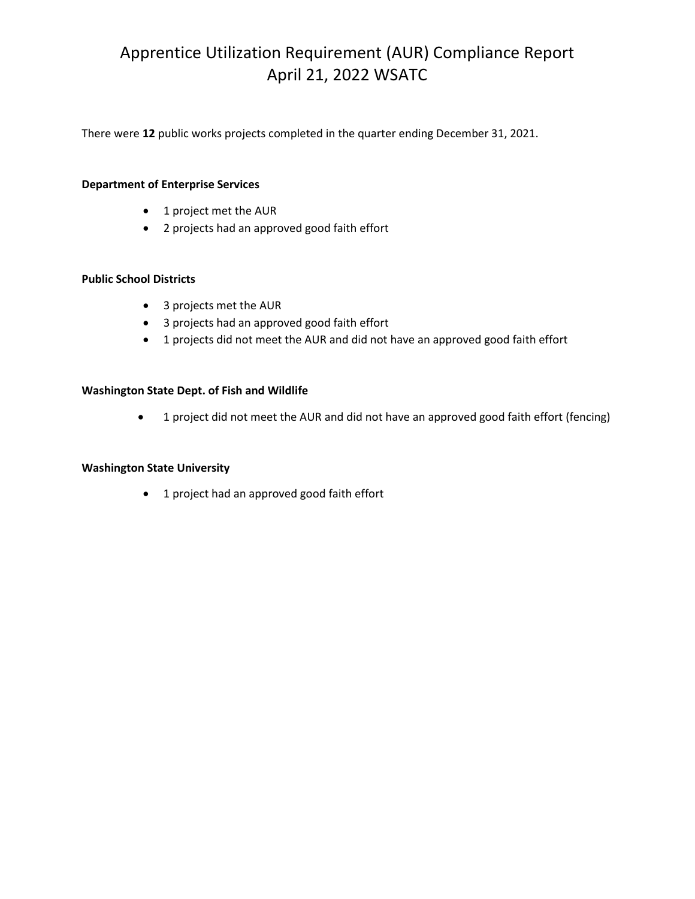# Apprentice Utilization Requirement (AUR) Compliance Report April 21, 2022 WSATC

There were **12** public works projects completed in the quarter ending December 31, 2021.

#### **Department of Enterprise Services**

- 1 project met the AUR
- 2 projects had an approved good faith effort

## **Public School Districts**

- 3 projects met the AUR
- 3 projects had an approved good faith effort
- 1 projects did not meet the AUR and did not have an approved good faith effort

## **Washington State Dept. of Fish and Wildlife**

• 1 project did not meet the AUR and did not have an approved good faith effort (fencing)

#### **Washington State University**

• 1 project had an approved good faith effort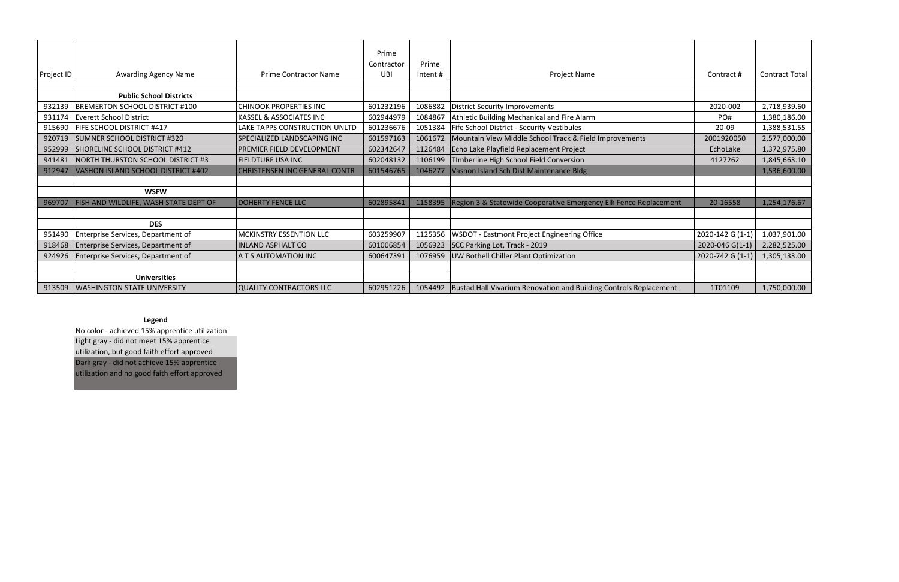|            |                                       |                                    | Prime             | Prime    |                                                                             |                  |                       |
|------------|---------------------------------------|------------------------------------|-------------------|----------|-----------------------------------------------------------------------------|------------------|-----------------------|
| Project ID | <b>Awarding Agency Name</b>           | <b>Prime Contractor Name</b>       | Contractor<br>UBI | Intent # | Project Name                                                                | Contract #       | <b>Contract Total</b> |
|            |                                       |                                    |                   |          |                                                                             |                  |                       |
|            | <b>Public School Districts</b>        |                                    |                   |          |                                                                             |                  |                       |
| 932139     | BREMERTON SCHOOL DISTRICT #100        | <b>CHINOOK PROPERTIES INC</b>      | 601232196         | 1086882  | <b>District Security Improvements</b>                                       | 2020-002         | 2,718,939.60          |
| 931174     | <b>Everett School District</b>        | KASSEL & ASSOCIATES INC            | 602944979         | 1084867  | Athletic Building Mechanical and Fire Alarm                                 | PO#              | 1,380,186.00          |
| 915690     | FIFE SCHOOL DISTRICT #417             | LAKE TAPPS CONSTRUCTION UNLTD      | 601236676         | 1051384  | Fife School District - Security Vestibules                                  | 20-09            | 1,388,531.55          |
| 920719     | <b>SUMNER SCHOOL DISTRICT #320</b>    | <b>SPECIALIZED LANDSCAPING INC</b> | 601597163         | 1061672  | Mountain View Middle School Track & Field Improvements                      | 2001920050       | 2,577,000.00          |
| 952999     | SHORELINE SCHOOL DISTRICT #412        | PREMIER FIELD DEVELOPMENT          | 602342647         | 1126484  | Echo Lake Playfield Replacement Project                                     | EchoLake         | 1,372,975.80          |
| 941481     | NORTH THURSTON SCHOOL DISTRICT #3     | <b>FIELDTURF USA INC</b>           | 602048132         | 1106199  | Timberline High School Field Conversion                                     | 4127262          | 1,845,663.10          |
| 912947     | VASHON ISLAND SCHOOL DISTRICT #402    | CHRISTENSEN INC GENERAL CONTR      | 601546765         | 1046277  | Vashon Island Sch Dist Maintenance Bldg                                     |                  | 1,536,600.00          |
|            |                                       |                                    |                   |          |                                                                             |                  |                       |
|            | <b>WSFW</b>                           |                                    |                   |          |                                                                             |                  |                       |
| 969707     | FISH AND WILDLIFE, WASH STATE DEPT OF | <b>DOHERTY FENCE LLC</b>           | 602895841         | 1158395  | Region 3 & Statewide Cooperative Emergency Elk Fence Replacement            | 20-16558         | 1,254,176.67          |
|            |                                       |                                    |                   |          |                                                                             |                  |                       |
|            | <b>DES</b>                            |                                    |                   |          |                                                                             |                  |                       |
| 951490     | Enterprise Services, Department of    | MCKINSTRY ESSENTION LLC            | 603259907         | 1125356  | <b>WSDOT - Eastmont Project Engineering Office</b>                          | 2020-142 G (1-1) | 1,037,901.00          |
| 918468     | Enterprise Services, Department of    | <b>INLAND ASPHALT CO</b>           | 601006854         | 1056923  | SCC Parking Lot, Track - 2019                                               | 2020-046 G(1-1)  | 2,282,525.00          |
| 924926     | Enterprise Services, Department of    | A T S AUTOMATION INC               | 600647391         | 1076959  | UW Bothell Chiller Plant Optimization                                       | 2020-742 G (1-1) | 1,305,133.00          |
|            |                                       |                                    |                   |          |                                                                             |                  |                       |
|            | <b>Universities</b>                   |                                    |                   |          |                                                                             |                  |                       |
| 913509     | <b>WASHINGTON STATE UNIVERSITY</b>    | <b>QUALITY CONTRACTORS LLC</b>     | 602951226         |          | 1054492   Bustad Hall Vivarium Renovation and Building Controls Replacement | 1T01109          | 1,750,000.00          |

# **Legend**

No color - achieved 15% apprentice utilization Light gray - did not meet 15% apprentice utilization, but good faith effort approved Dark gray - did not achieve 15% apprentice utilization and no good faith effort approved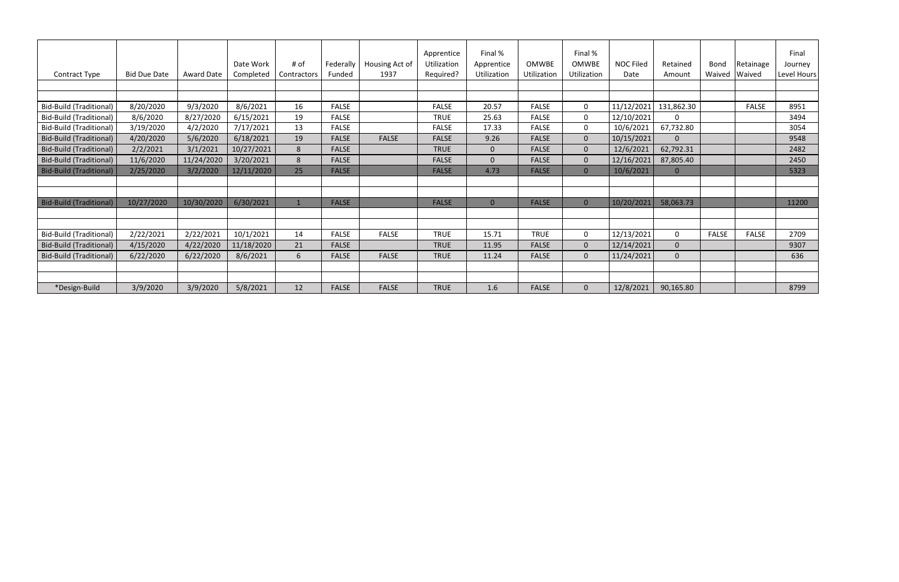|                                |                     |            | Date Work  | # of        | Federally    | Housing Act of | Apprentice<br>Utilization | Final %<br>Apprentice | <b>OMWBE</b> | Final %<br><b>OMWBE</b> | <b>NOC Filed</b> | Retained     | <b>Bond</b>  | Retainage     | Final<br>Journey |
|--------------------------------|---------------------|------------|------------|-------------|--------------|----------------|---------------------------|-----------------------|--------------|-------------------------|------------------|--------------|--------------|---------------|------------------|
| Contract Type                  | <b>Bid Due Date</b> | Award Date | Completed  | Contractors | Funded       | 1937           | Required?                 | Utilization           | Utilization  | Utilization             | Date             | Amount       | Waived       | <b>Waived</b> | Level Hours      |
|                                |                     |            |            |             |              |                |                           |                       |              |                         |                  |              |              |               |                  |
| <b>Bid-Build (Traditional)</b> | 8/20/2020           | 9/3/2020   | 8/6/2021   | 16          | <b>FALSE</b> |                | FALSE                     | 20.57                 | <b>FALSE</b> | $\mathbf 0$             | 11/12/2021       | 131,862.30   |              | <b>FALSE</b>  | 8951             |
| <b>Bid-Build (Traditional)</b> | 8/6/2020            | 8/27/2020  | 6/15/2021  | 19          | <b>FALSE</b> |                | <b>TRUE</b>               | 25.63                 | <b>FALSE</b> | 0                       | 12/10/2021       | $\mathbf{0}$ |              |               | 3494             |
| <b>Bid-Build (Traditional)</b> | 3/19/2020           | 4/2/2020   | 7/17/2021  | 13          | <b>FALSE</b> |                | <b>FALSE</b>              | 17.33                 | <b>FALSE</b> | 0                       | 10/6/2021        | 67,732.80    |              |               | 3054             |
| Bid-Build (Traditional)        | 4/20/2020           | 5/6/2020   | 6/18/2021  | 19          | <b>FALSE</b> | <b>FALSE</b>   | <b>FALSE</b>              | 9.26                  | <b>FALSE</b> | $\mathbf 0$             | 10/15/2021       | $\Omega$     |              |               | 9548             |
| Bid-Build (Traditional)        | 2/2/2021            | 3/1/2021   | 10/27/2021 | 8           | <b>FALSE</b> |                | <b>TRUE</b>               | $\Omega$              | <b>FALSE</b> | $\mathbf{0}$            | 12/6/2021        | 62,792.31    |              |               | 2482             |
| Bid-Build (Traditional)        | 11/6/2020           | 11/24/2020 | 3/20/2021  | 8           | <b>FALSE</b> |                | <b>FALSE</b>              | $\Omega$              | <b>FALSE</b> | $\Omega$                | 12/16/2021       | 87,805.40    |              |               | 2450             |
| <b>Bid-Build (Traditional)</b> | 2/25/2020           | 3/2/2020   | 12/11/2020 | 25          | <b>FALSE</b> |                | <b>FALSE</b>              | 4.73                  | <b>FALSE</b> | $\mathbf{0}$            | 10/6/2021        | $\Omega$     |              |               | 5323             |
|                                |                     |            |            |             |              |                |                           |                       |              |                         |                  |              |              |               |                  |
|                                |                     |            |            |             |              |                |                           |                       |              |                         |                  |              |              |               |                  |
| <b>Bid-Build (Traditional)</b> | 10/27/2020          | 10/30/2020 | 6/30/2021  |             | <b>FALSE</b> |                | <b>FALSE</b>              | $\mathbf{0}$          | <b>FALSE</b> | $\overline{0}$          | 10/20/2021       | 58,063.73    |              |               | 11200            |
|                                |                     |            |            |             |              |                |                           |                       |              |                         |                  |              |              |               |                  |
|                                |                     |            |            |             |              |                |                           |                       |              |                         |                  |              |              |               |                  |
| <b>Bid-Build (Traditional)</b> | 2/22/2021           | 2/22/2021  | 10/1/2021  | 14          | <b>FALSE</b> | <b>FALSE</b>   | <b>TRUE</b>               | 15.71                 | <b>TRUE</b>  | 0                       | 12/13/2021       | $\mathbf{0}$ | <b>FALSE</b> | <b>FALSE</b>  | 2709             |
| Bid-Build (Traditional)        | 4/15/2020           | 4/22/2020  | 11/18/2020 | 21          | <b>FALSE</b> |                | <b>TRUE</b>               | 11.95                 | <b>FALSE</b> | $\mathbf 0$             | 12/14/2021       | $\mathbf{0}$ |              |               | 9307             |
| <b>Bid-Build (Traditional)</b> | 6/22/2020           | 6/22/2020  | 8/6/2021   | 6           | <b>FALSE</b> | <b>FALSE</b>   | <b>TRUE</b>               | 11.24                 | <b>FALSE</b> | $\Omega$                | 11/24/2021       | $\mathbf{0}$ |              |               | 636              |
|                                |                     |            |            |             |              |                |                           |                       |              |                         |                  |              |              |               |                  |
|                                |                     |            |            |             |              |                |                           |                       |              |                         |                  |              |              |               |                  |
| *Design-Build                  | 3/9/2020            | 3/9/2020   | 5/8/2021   | 12          | <b>FALSE</b> | <b>FALSE</b>   | <b>TRUE</b>               | 1.6                   | <b>FALSE</b> | $\mathbf 0$             | 12/8/2021        | 90,165.80    |              |               | 8799             |